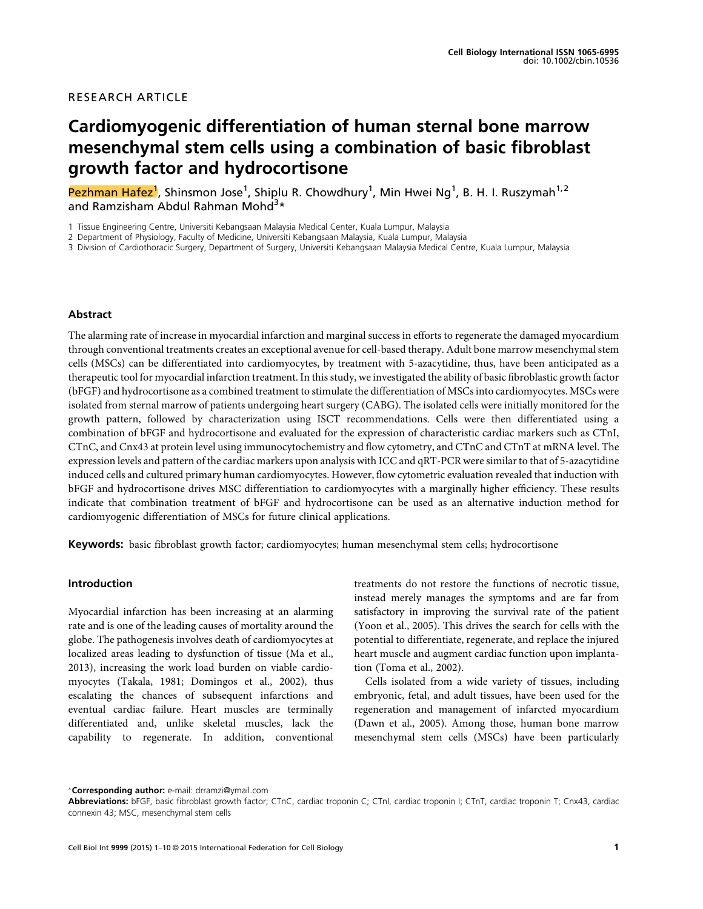# RESEARCH ARTICLE

# **Cardiomyogenic differentiation of human sternal bone marrow mesenchymal stem cells using a combination of basic fibroblast growth factor and hydrocortisone**

Pezhman Hafez<sup>1</sup>, Shinsmon Jose<sup>1</sup>, Shiplu R. Chowdhury<sup>1</sup>, Min Hwei Ng<sup>1</sup>, B. H. I. Ruszymah<sup>1,2</sup> and Ramzisham Abdul Rahman Mohd<sup>3\*</sup>

1 Tissue Engineering Centre, Universiti Kebangsaan Malaysia Medical Center, Kuala Lumpur, Malaysia

2 Department of Physiology, Faculty of Medicine, Universiti Kebangsaan Malaysia, Kuala Lumpur, Malaysia

3 Division of Cardiothoracic Surgery, Department of Surgery, Universiti Kebangsaan Malaysia Medical Centre, Kuala Lumpur, Malaysia

#### **Abstract**

The alarming rate of increase in myocardial infarction and marginal success in efforts to regenerate the damaged myocardium through conventional treatments creates an exceptional avenue for cell-based therapy. Adult bone marrow mesenchymal stem cells (MSCs) can be differentiated into cardiomyocytes, by treatment with 5-azacytidine, thus, have been anticipated as a therapeutic tool for myocardial infarction treatment.In thisstudy, we investigated the ability of basic fbroblastic growth factor (bFGF) and hydrocortisone as a combined treatment to stimulate the differentiation of MSCsinto cardiomyocytes. MSCs were isolated from sternal marrow of patients undergoing heart surgery (CABG). The isolated cells were initially monitored for the growth pattern, followed by characterization using ISCT recommendations. Cells were then differentiated using a combination of bFGF and hydrocortisone and evaluated for the expression of characteristic cardiac markers such as CTnI, CTnC, and Cnx43 at protein level using immunocytochemistry and fow cytometry, and CTnC and CTnT at mRNA level. The expression levels and pattern of the cardiac markers upon analysis with ICC and qRT-PCR were similar to that of 5-azacytidine induced cells and cultured primary human cardiomyocytes. However, fow cytometric evaluation revealed that induction with bFGF and hydrocortisone drives MSC differentiation to cardiomyocytes with a marginally higher effciency. These results indicate that combination treatment of bFGF and hydrocortisone can be used as an alternative induction method for cardiomyogenic differentiation of MSCs for future clinical applications.

**Keywords:** basic fibroblast growth factor; cardiomyocytes; human mesenchymal stem cells; hydrocortisone

### **Introduction**

Myocardial infarction has been increasing at an alarming rate and is one of the leading causes of mortality around the globe. The pathogenesis involves death of cardiomyocytes at localized areas leading to dysfunction of tissue (Ma et al., 2013), increasing the work load burden on viable cardiomyocytes (Takala, 1981; Domingos et al., 2002), thus escalating the chances of subsequent infarctions and eventual cardiac failure. Heart muscles are terminally differentiated and, unlike skeletal muscles, lack the capability to regenerate. In addition, conventional treatments do not restore the functions of necrotic tissue, instead merely manages the symptoms and are far from satisfactory in improving the survival rate of the patient (Yoon et al., 2005). This drives the search for cells with the potential to differentiate, regenerate, and replace the injured heart muscle and augment cardiac function upon implantation (Toma et al., 2002).

Cells isolated from a wide variety of tissues, including embryonic, fetal, and adult tissues, have been used for the regeneration and management of infarcted myocardium (Dawn et al., 2005). Among those, human bone marrow mesenchymal stem cells (MSCs) have been particularly

!**Corresponding author:** e-mail: drramzi@ymail.com

Abbreviations: bFGF, basic fibroblast growth factor; CTnC, cardiac troponin C; CTnI, cardiac troponin I; CTnT, cardiac troponin T; Cnx43, cardiac connexin 43; MSC, mesenchymal stem cells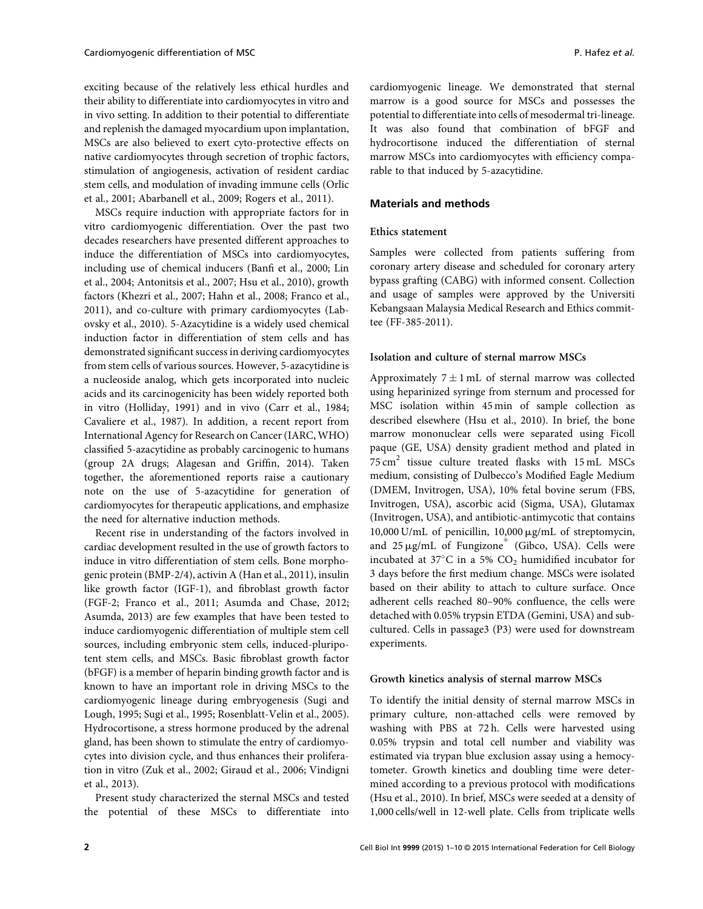exciting because of the relatively less ethical hurdles and their ability to differentiate into cardiomyocytes in vitro and in vivo setting. In addition to their potential to differentiate and replenish the damaged myocardium upon implantation, MSCs are also believed to exert cyto-protective effects on native cardiomyocytes through secretion of trophic factors, stimulation of angiogenesis, activation of resident cardiac stem cells, and modulation of invading immune cells (Orlic et al., 2001; Abarbanell et al., 2009; Rogers et al., 2011).

MSCs require induction with appropriate factors for in vitro cardiomyogenic differentiation. Over the past two decades researchers have presented different approaches to induce the differentiation of MSCs into cardiomyocytes, including use of chemical inducers (Banf et al., 2000; Lin et al., 2004; Antonitsis et al., 2007; Hsu et al., 2010), growth factors (Khezri et al., 2007; Hahn et al., 2008; Franco et al., 2011), and co-culture with primary cardiomyocytes (Labovsky et al., 2010). 5-Azacytidine is a widely used chemical induction factor in differentiation of stem cells and has demonstrated significant success in deriving cardiomyocytes from stem cells of various sources. However, 5-azacytidine is a nucleoside analog, which gets incorporated into nucleic acids and its carcinogenicity has been widely reported both in vitro (Holliday, 1991) and in vivo (Carr et al., 1984; Cavaliere et al., 1987). In addition, a recent report from International Agency for Research on Cancer(IARC, WHO) classifed 5-azacytidine as probably carcinogenic to humans (group 2A drugs; Alagesan and Griffn, 2014). Taken together, the aforementioned reports raise a cautionary note on the use of 5-azacytidine for generation of cardiomyocytes for therapeutic applications, and emphasize the need for alternative induction methods.

Recent rise in understanding of the factors involved in cardiac development resulted in the use of growth factors to induce in vitro differentiation of stem cells. Bone morphogenic protein (BMP-2/4), activin A (Han et al., 2011), insulin like growth factor (IGF-1), and fbroblast growth factor (FGF-2; Franco et al., 2011; Asumda and Chase, 2012; Asumda, 2013) are few examples that have been tested to induce cardiomyogenic differentiation of multiple stem cell sources, including embryonic stem cells, induced-pluripotent stem cells, and MSCs. Basic fbroblast growth factor (bFGF) is a member of heparin binding growth factor and is known to have an important role in driving MSCs to the cardiomyogenic lineage during embryogenesis (Sugi and Lough, 1995; Sugi et al., 1995; Rosenblatt-Velin et al., 2005). Hydrocortisone, a stress hormone produced by the adrenal gland, has been shown to stimulate the entry of cardiomyocytes into division cycle, and thus enhances their proliferation in vitro (Zuk et al., 2002; Giraud et al., 2006; Vindigni et al., 2013).

Present study characterized the sternal MSCs and tested the potential of these MSCs to differentiate into

cardiomyogenic lineage. We demonstrated that sternal marrow is a good source for MSCs and possesses the potential to differentiate into cells of mesodermal tri-lineage. It was also found that combination of bFGF and hydrocortisone induced the differentiation of sternal marrow MSCs into cardiomyocytes with efficiency comparable to that induced by 5-azacytidine.

# **Materials and methods**

### Ethics statement

Samples were collected from patients suffering from coronary artery disease and scheduled for coronary artery bypass grafting (CABG) with informed consent. Collection and usage of samples were approved by the Universiti Kebangsaan Malaysia Medical Research and Ethics committee (FF-385-2011).

#### Isolation and culture of sternal marrow MSCs

Approximately  $7 \pm 1$  mL of sternal marrow was collected using heparinized syringe from sternum and processed for MSC isolation within 45 min of sample collection as described elsewhere (Hsu et al., 2010). In brief, the bone marrow mononuclear cells were separated using Ficoll paque (GE, USA) density gradient method and plated in  $75 \text{ cm}^2$  tissue culture treated flasks with  $15 \text{ mL}$  MSCs medium, consisting of Dulbecco's Modifed Eagle Medium (DMEM, Invitrogen, USA), 10% fetal bovine serum (FBS, Invitrogen, USA), ascorbic acid (Sigma, USA), Glutamax (Invitrogen, USA), and antibiotic-antimycotic that contains 10,000 U/mL of penicillin, 10,000  $\mu$ g/mL of streptomycin, and 25 µg/mL of Fungizone<sup>®</sup> (Gibco, USA). Cells were incubated at 37 $\degree$ C in a 5% CO<sub>2</sub> humidified incubator for 3 days before the frst medium change. MSCs were isolated based on their ability to attach to culture surface. Once adherent cells reached 80–90% confuence, the cells were detached with 0.05% trypsin ETDA (Gemini, USA) and subcultured. Cells in passage3 (P3) were used for downstream experiments.

#### Growth kinetics analysis of sternal marrow MSCs

To identify the initial density of sternal marrow MSCs in primary culture, non-attached cells were removed by washing with PBS at 72 h. Cells were harvested using 0.05% trypsin and total cell number and viability was estimated via trypan blue exclusion assay using a hemocytometer. Growth kinetics and doubling time were determined according to a previous protocol with modifcations (Hsu et al., 2010). In brief, MSCs were seeded at a density of 1,000 cells/well in 12-well plate. Cells from triplicate wells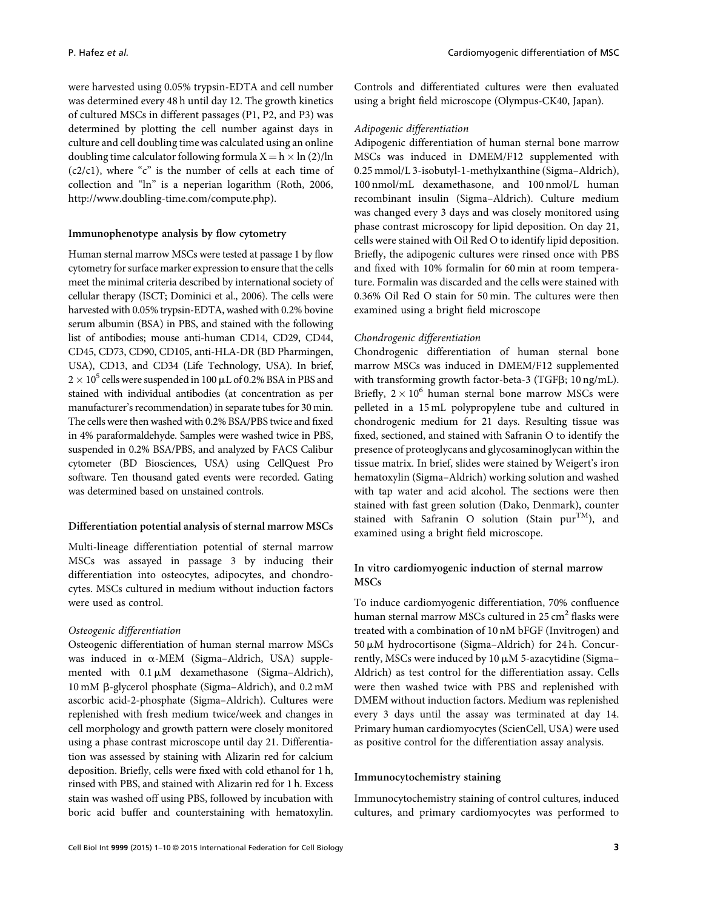were harvested using 0.05% trypsin-EDTA and cell number was determined every 48 h until day 12. The growth kinetics of cultured MSCs in different passages (P1, P2, and P3) was determined by plotting the cell number against days in culture and cell doubling time was calculated using an online doubling time calculator following formula  $X = h \times ln(2)/ln$ ( $c2/c1$ ), where "c" is the number of cells at each time of collection and "ln" is a neperian logarithm (Roth, 2006, http://www.doubling-time.com/compute.php).

### Immunophenotype analysis by flow cytometry

Human sternal marrow MSCs were tested at passage 1 by flow cytometry for surface marker expression to ensure that the cells meet the minimal criteria described by international society of cellular therapy (ISCT; Dominici et al., 2006). The cells were harvested with 0.05% trypsin-EDTA, washed with 0.2% bovine serum albumin (BSA) in PBS, and stained with the following list of antibodies; mouse anti-human CD14, CD29, CD44, CD45, CD73, CD90, CD105, anti-HLA-DR (BD Pharmingen, USA), CD13, and CD34 (Life Technology, USA). In brief,  $2 \times 10^5$  cells were suspended in 100  $\mu$ L of 0.2% BSA in PBS and stained with individual antibodies (at concentration as per manufacturer's recommendation) in separate tubes for 30 min. The cells were then washed with 0.2% BSA/PBS twice and fixed in 4% paraformaldehyde. Samples were washed twice in PBS, suspended in 0.2% BSA/PBS, and analyzed by FACS Calibur cytometer (BD Biosciences, USA) using CellQuest Pro software. Ten thousand gated events were recorded. Gating was determined based on unstained controls.

### Differentiation potential analysis of sternal marrow MSCs

Multi-lineage differentiation potential of sternal marrow MSCs was assayed in passage 3 by inducing their differentiation into osteocytes, adipocytes, and chondrocytes. MSCs cultured in medium without induction factors were used as control.

### *Osteogenic differentiation*

Osteogenic differentiation of human sternal marrow MSCs was induced in  $\alpha$ -MEM (Sigma–Aldrich, USA) supplemented with  $0.1 \mu M$  dexamethasone (Sigma–Aldrich), 10 mM b-glycerol phosphate (Sigma–Aldrich), and 0.2 mM ascorbic acid-2-phosphate (Sigma–Aldrich). Cultures were replenished with fresh medium twice/week and changes in cell morphology and growth pattern were closely monitored using a phase contrast microscope until day 21. Differentiation was assessed by staining with Alizarin red for calcium deposition. Briefy, cells were fxed with cold ethanol for 1 h, rinsed with PBS, and stained with Alizarin red for 1 h. Excess stain was washed off using PBS, followed by incubation with boric acid buffer and counterstaining with hematoxylin. Controls and differentiated cultures were then evaluated using a bright feld microscope (Olympus-CK40, Japan).

### *Adipogenic differentiation*

Adipogenic differentiation of human sternal bone marrow MSCs was induced in DMEM/F12 supplemented with 0.25 mmol/L 3-isobutyl-1-methylxanthine (Sigma–Aldrich), 100 nmol/mL dexamethasone, and 100 nmol/L human recombinant insulin (Sigma–Aldrich). Culture medium was changed every 3 days and was closely monitored using phase contrast microscopy for lipid deposition. On day 21, cells were stained with Oil Red O to identify lipid deposition. Briefy, the adipogenic cultures were rinsed once with PBS and fxed with 10% formalin for 60 min at room temperature. Formalin was discarded and the cells were stained with 0.36% Oil Red O stain for 50 min. The cultures were then examined using a bright feld microscope

#### *Chondrogenic differentiation*

Chondrogenic differentiation of human sternal bone marrow MSCs was induced in DMEM/F12 supplemented with transforming growth factor-beta-3 (TGFß; 10 ng/mL). Briefly,  $2 \times 10^6$  human sternal bone marrow MSCs were pelleted in a 15 mL polypropylene tube and cultured in chondrogenic medium for 21 days. Resulting tissue was fxed, sectioned, and stained with Safranin O to identify the presence of proteoglycans and glycosaminoglycan within the tissue matrix. In brief, slides were stained by Weigert's iron hematoxylin (Sigma–Aldrich) working solution and washed with tap water and acid alcohol. The sections were then stained with fast green solution (Dako, Denmark), counter stained with Safranin O solution (Stain pur<sup>TM</sup>), and examined using a bright feld microscope.

# In vitro cardiomyogenic induction of sternal marrow **MSCs**

To induce cardiomyogenic differentiation, 70% confuence human sternal marrow MSCs cultured in  $25 \text{ cm}^2$  flasks were treated with a combination of 10 nM bFGF (Invitrogen) and  $50 \mu M$  hydrocortisone (Sigma–Aldrich) for 24 h. Concurrently, MSCs were induced by 10  $\mu$ M 5-azacytidine (Sigma-Aldrich) as test control for the differentiation assay. Cells were then washed twice with PBS and replenished with DMEM without induction factors. Medium was replenished every 3 days until the assay was terminated at day 14. Primary human cardiomyocytes (ScienCell, USA) were used as positive control for the differentiation assay analysis.

# Immunocytochemistry staining

Immunocytochemistry staining of control cultures, induced cultures, and primary cardiomyocytes was performed to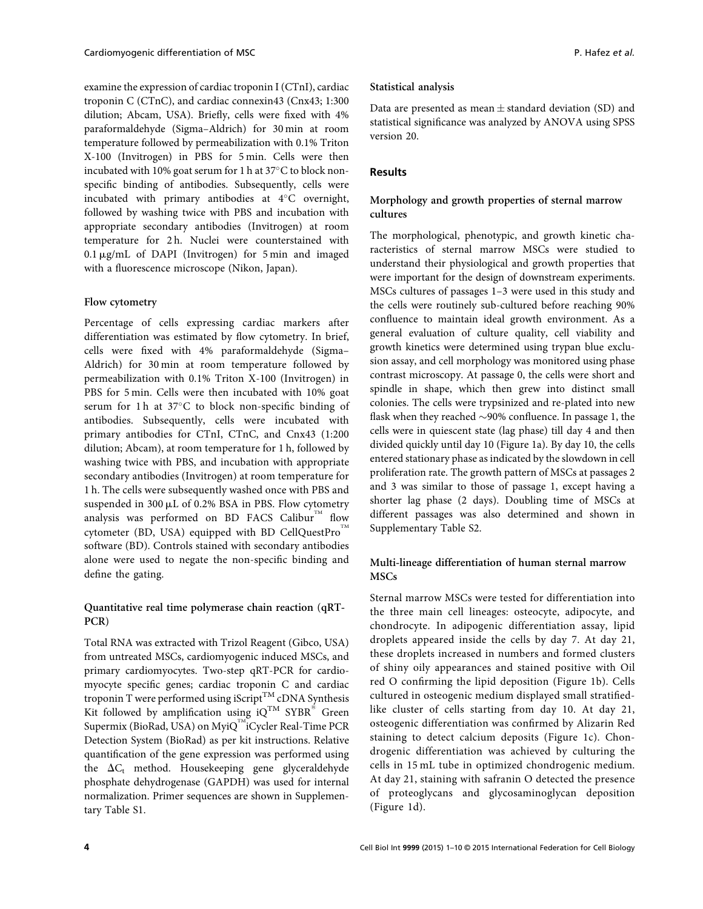examine the expression of cardiac troponin I (CTnI), cardiac troponin C (CTnC), and cardiac connexin43 (Cnx43; 1:300 dilution; Abcam, USA). Briefy, cells were fxed with 4% paraformaldehyde (Sigma–Aldrich) for 30 min at room temperature followed by permeabilization with 0.1% Triton X-100 (Invitrogen) in PBS for 5 min. Cells were then incubated with 10% goat serum for 1 h at  $37^{\circ}$ C to block nonspecifc binding of antibodies. Subsequently, cells were incubated with primary antibodies at  $4^{\circ}$ C overnight, followed by washing twice with PBS and incubation with appropriate secondary antibodies (Invitrogen) at room temperature for 2 h. Nuclei were counterstained with  $0.1 \,\mu$ g/mL of DAPI (Invitrogen) for 5 min and imaged with a fuorescence microscope (Nikon, Japan).

# Flow cytometry

Percentage of cells expressing cardiac markers after differentiation was estimated by flow cytometry. In brief, cells were fxed with 4% paraformaldehyde (Sigma– Aldrich) for 30 min at room temperature followed by permeabilization with 0.1% Triton X-100 (Invitrogen) in PBS for 5 min. Cells were then incubated with 10% goat serum for 1 h at  $37^{\circ}$ C to block non-specific binding of antibodies. Subsequently, cells were incubated with primary antibodies for CTnI, CTnC, and Cnx43 (1:200 dilution; Abcam), at room temperature for 1 h, followed by washing twice with PBS, and incubation with appropriate secondary antibodies (Invitrogen) at room temperature for 1 h. The cells were subsequently washed once with PBS and suspended in 300 µL of 0.2% BSA in PBS. Flow cytometry analysis was performed on BD FACS Calibur<sup>M</sup> flow cytometer (BD, USA) equipped with BD CellQuestPro $T^{M}$ software (BD). Controls stained with secondary antibodies alone were used to negate the non-specifc binding and defne the gating.

# Quantitative real time polymerase chain reaction (qRT-PCR)

Total RNA was extracted with Trizol Reagent (Gibco, USA) from untreated MSCs, cardiomyogenic induced MSCs, and primary cardiomyocytes. Two-step qRT-PCR for cardiomyocyte specifc genes; cardiac troponin C and cardiac troponin T were performed using iScript<sup>TM</sup> cDNA Synthesis Kit followed by amplification using  $iQ^{TM}$  SYBR<sup>®</sup> Green Supermix (BioRad, USA) on MyiQ<sup>TM</sup>iCycler Real-Time PCR Detection System (BioRad) as per kit instructions. Relative quantifcation of the gene expression was performed using the  $\Delta C_t$  method. Housekeeping gene glyceraldehyde phosphate dehydrogenase (GAPDH) was used for internal normalization. Primer sequences are shown in Supplementary Table S1.

# Statistical analysis

Data are presented as mean  $\pm$  standard deviation (SD) and statistical signifcance was analyzed by ANOVA using SPSS version 20.

# **Results**

# Morphology and growth properties of sternal marrow cultures

The morphological, phenotypic, and growth kinetic characteristics of sternal marrow MSCs were studied to understand their physiological and growth properties that were important for the design of downstream experiments. MSCs cultures of passages 1–3 were used in this study and the cells were routinely sub-cultured before reaching 90% confuence to maintain ideal growth environment. As a general evaluation of culture quality, cell viability and growth kinetics were determined using trypan blue exclusion assay, and cell morphology was monitored using phase contrast microscopy. At passage 0, the cells were short and spindle in shape, which then grew into distinct small colonies. The cells were trypsinized and re-plated into new flask when they reached  $\sim$ 90% confluence. In passage 1, the cells were in quiescent state (lag phase) till day 4 and then divided quickly until day 10 (Figure 1a). By day 10, the cells entered stationary phase as indicated by the slowdown in cell proliferation rate. The growth pattern of MSCs at passages 2 and 3 was similar to those of passage 1, except having a shorter lag phase (2 days). Doubling time of MSCs at different passages was also determined and shown in Supplementary Table S2.

# Multi-lineage differentiation of human sternal marrow **MSCs**

Sternal marrow MSCs were tested for differentiation into the three main cell lineages: osteocyte, adipocyte, and chondrocyte. In adipogenic differentiation assay, lipid droplets appeared inside the cells by day 7. At day 21, these droplets increased in numbers and formed clusters of shiny oily appearances and stained positive with Oil red O confrming the lipid deposition (Figure 1b). Cells cultured in osteogenic medium displayed small stratifedlike cluster of cells starting from day 10. At day 21, osteogenic differentiation was confrmed by Alizarin Red staining to detect calcium deposits (Figure 1c). Chondrogenic differentiation was achieved by culturing the cells in 15 mL tube in optimized chondrogenic medium. At day 21, staining with safranin O detected the presence of proteoglycans and glycosaminoglycan deposition (Figure 1d).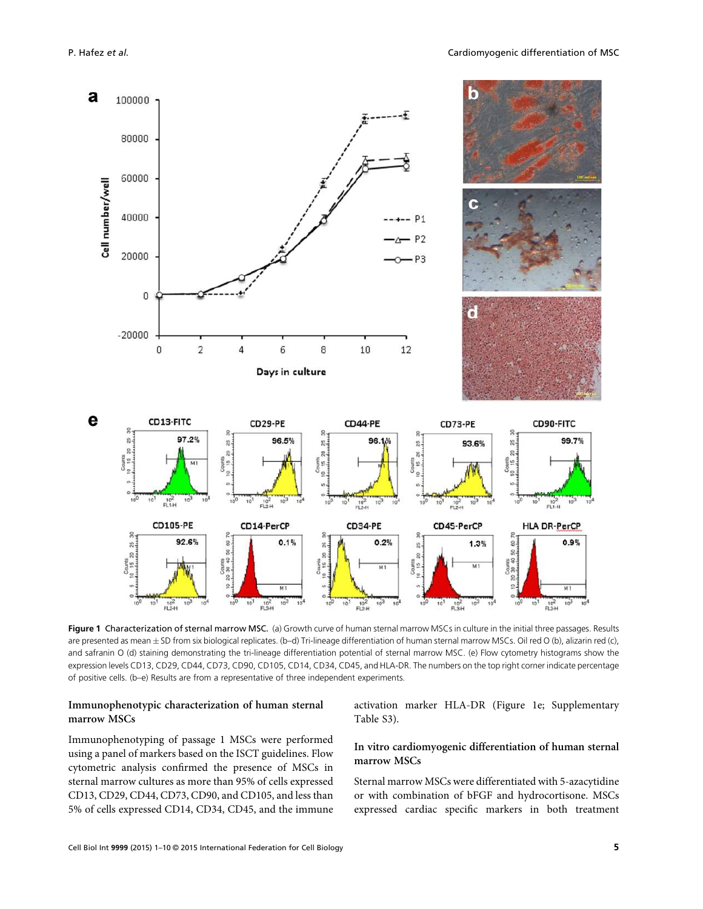

**Figure 1** Characterization of sternal marrow MSC. (a) Growth curve of human sternal marrow MSCs in culture in the initial three passages. Results are presented as mean ± SD from six biological replicates. (b-d) Tri-lineage differentiation of human sternal marrow MSCs. Oil red O (b), alizarin red (c), and safranin O (d) staining demonstrating the tri-lineage differentiation potential of sternal marrow MSC. (e) Flow cytometry histograms show the expression levels CD13, CD29, CD44, CD73, CD90, CD105, CD14, CD34, CD45, and HLA-DR. The numbers on the top right corner indicate percentage of positive cells. (b–e) Results are from a representative of three independent experiments.

# Immunophenotypic characterization of human sternal marrow MSCs

Immunophenotyping of passage 1 MSCs were performed using a panel of markers based on the ISCT guidelines. Flow cytometric analysis confrmed the presence of MSCs in sternal marrow cultures as more than 95% of cells expressed CD13, CD29, CD44, CD73, CD90, and CD105, and less than 5% of cells expressed CD14, CD34, CD45, and the immune activation marker HLA-DR (Figure 1e; Supplementary Table S3).

# In vitro cardiomyogenic differentiation of human sternal marrow MSCs

Sternal marrow MSCs were differentiated with 5-azacytidine or with combination of bFGF and hydrocortisone. MSCs expressed cardiac specifc markers in both treatment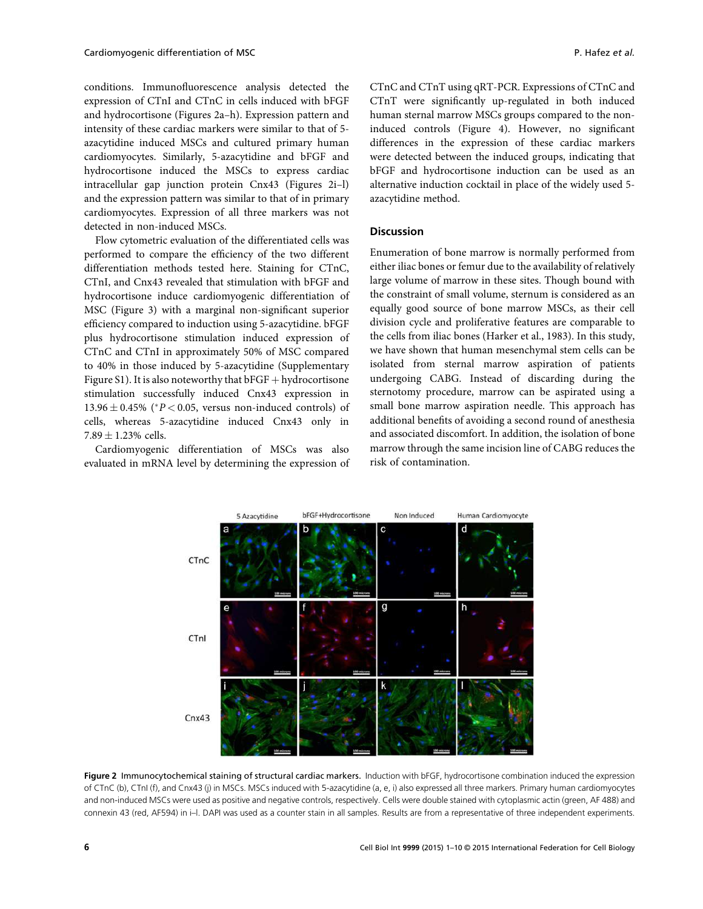conditions. Immunofuorescence analysis detected the expression of CTnI and CTnC in cells induced with bFGF and hydrocortisone (Figures 2a–h). Expression pattern and intensity of these cardiac markers were similar to that of 5 azacytidine induced MSCs and cultured primary human cardiomyocytes. Similarly, 5-azacytidine and bFGF and hydrocortisone induced the MSCs to express cardiac intracellular gap junction protein Cnx43 (Figures 2i–l) and the expression pattern was similar to that of in primary cardiomyocytes. Expression of all three markers was not detected in non-induced MSCs.

Flow cytometric evaluation of the differentiated cells was performed to compare the effciency of the two different differentiation methods tested here. Staining for CTnC, CTnI, and Cnx43 revealed that stimulation with bFGF and hydrocortisone induce cardiomyogenic differentiation of MSC (Figure 3) with a marginal non-signifcant superior effciency compared to induction using 5-azacytidine. bFGF plus hydrocortisone stimulation induced expression of CTnC and CTnI in approximately 50% of MSC compared to 40% in those induced by 5-azacytidine (Supplementary Figure S1). It is also noteworthy that  $bFGF + hydrocortisone$ stimulation successfully induced Cnx43 expression in  $13.96 \pm 0.45\%$  ( ${}^*P$  < 0.05, versus non-induced controls) of cells, whereas 5-azacytidine induced Cnx43 only in 7.89  $\pm$  1.23% cells.

Cardiomyogenic differentiation of MSCs was also evaluated in mRNA level by determining the expression of CTnC and CTnT using qRT-PCR. Expressions of CTnC and CTnT were signifcantly up-regulated in both induced human sternal marrow MSCs groups compared to the noninduced controls (Figure 4). However, no signifcant differences in the expression of these cardiac markers were detected between the induced groups, indicating that bFGF and hydrocortisone induction can be used as an alternative induction cocktail in place of the widely used 5 azacytidine method.

# **Discussion**

Enumeration of bone marrow is normally performed from either iliac bones or femur due to the availability of relatively large volume of marrow in these sites. Though bound with the constraint of small volume, sternum is considered as an equally good source of bone marrow MSCs, as their cell division cycle and proliferative features are comparable to the cells from iliac bones (Harker et al., 1983). In this study, we have shown that human mesenchymal stem cells can be isolated from sternal marrow aspiration of patients undergoing CABG. Instead of discarding during the sternotomy procedure, marrow can be aspirated using a small bone marrow aspiration needle. This approach has additional benefts of avoiding a second round of anesthesia and associated discomfort. In addition, the isolation of bone marrow through the same incision line of CABG reduces the risk of contamination.



**Figure 2** Immunocytochemical staining of structural cardiac markers. Induction with bFGF, hydrocortisone combination induced the expression of CTnC (b), CTnI (f), and Cnx43 (j) in MSCs. MSCs induced with 5-azacytidine (a, e, i) also expressed all three markers. Primary human cardiomyocytes and non-induced MSCs were used as positive and negative controls, respectively. Cells were double stained with cytoplasmic actin (green, AF 488) and connexin 43 (red, AF594) in i–l. DAPI was used as a counter stain in all samples. Results are from a representative of three independent experiments.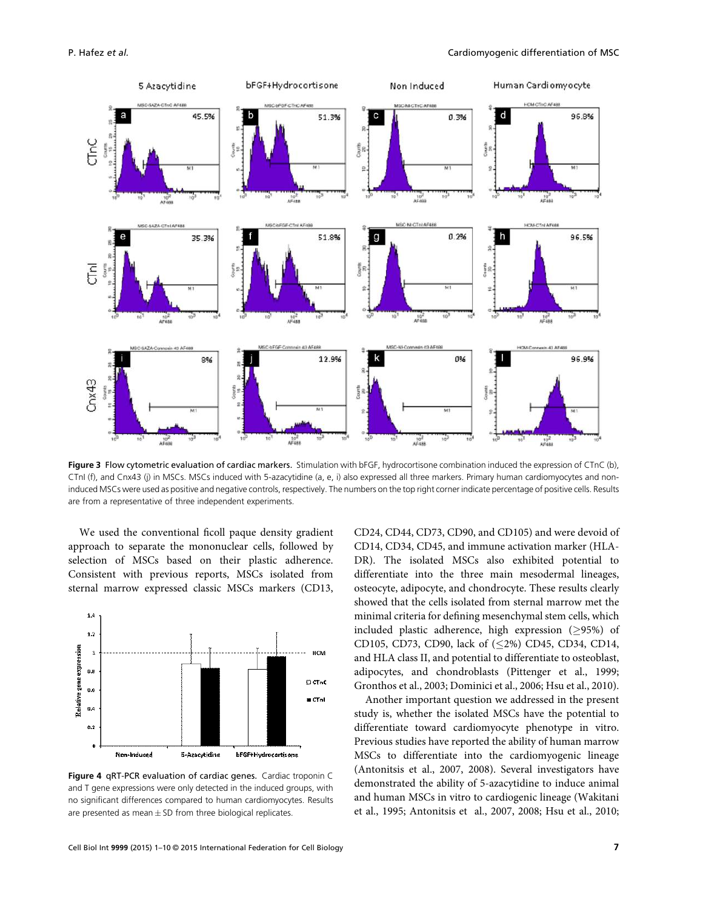

**Figure 3** Flow cytometric evaluation of cardiac markers. Stimulation with bFGF, hydrocortisone combination induced the expression of CTnC (b), CTnI (f), and Cnx43 (j) in MSCs. MSCs induced with 5-azacytidine (a, e, i) also expressed all three markers. Primary human cardiomyocytes and noninduced MSCs were used as positive and negative controls, respectively. The numbers on the top right corner indicate percentage of positive cells. Results are from a representative of three independent experiments.

We used the conventional ficoll paque density gradient approach to separate the mononuclear cells, followed by selection of MSCs based on their plastic adherence. Consistent with previous reports, MSCs isolated from sternal marrow expressed classic MSCs markers (CD13,



**Figure 4** qRT-PCR evaluation of cardiac genes. Cardiac troponin C and T gene expressions were only detected in the induced groups, with no significant differences compared to human cardiomyocytes. Results are presented as mean  $\pm$  SD from three biological replicates.

CD14, CD34, CD45, and immune activation marker (HLA-DR). The isolated MSCs also exhibited potential to differentiate into the three main mesodermal lineages, osteocyte, adipocyte, and chondrocyte. These results clearly showed that the cells isolated from sternal marrow met the minimal criteria for defning mesenchymal stem cells, which included plastic adherence, high expression  $($ >95%) of CD105, CD73, CD90, lack of  $(\leq$ 2%) CD45, CD34, CD14, and HLA class II, and potential to differentiate to osteoblast, adipocytes, and chondroblasts (Pittenger et al., 1999; Gronthos et al., 2003; Dominici et al., 2006; Hsu et al., 2010).

CD24, CD44, CD73, CD90, and CD105) and were devoid of

Another important question we addressed in the present study is, whether the isolated MSCs have the potential to differentiate toward cardiomyocyte phenotype in vitro. Previous studies have reported the ability of human marrow MSCs to differentiate into the cardiomyogenic lineage (Antonitsis et al., 2007, 2008). Several investigators have demonstrated the ability of 5-azacytidine to induce animal and human MSCs in vitro to cardiogenic lineage (Wakitani et al., 1995; Antonitsis et al., 2007, 2008; Hsu et al., 2010;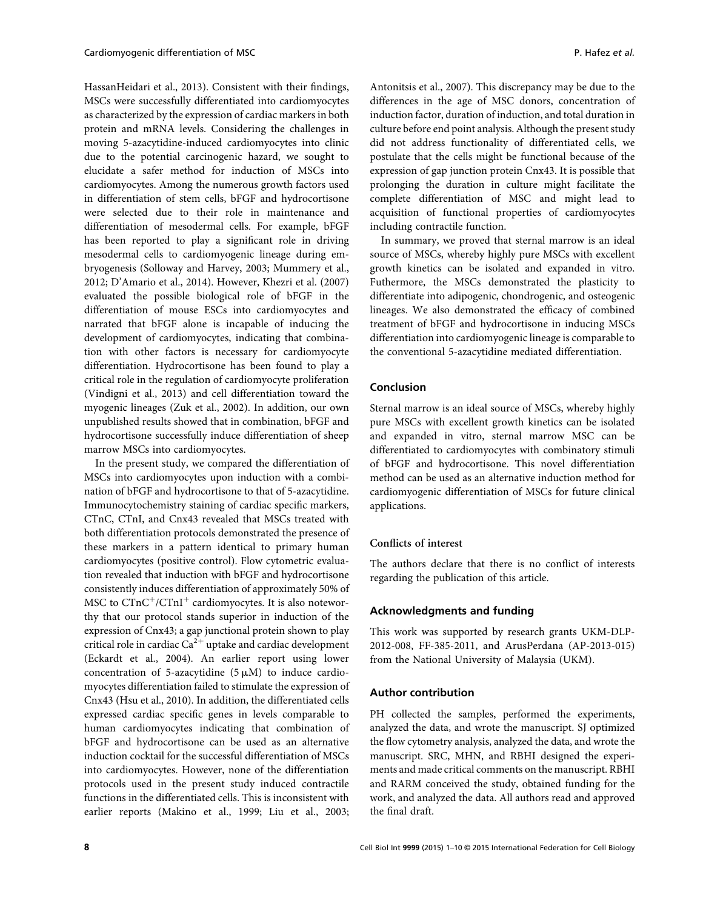HassanHeidari et al., 2013). Consistent with their fndings, MSCs were successfully differentiated into cardiomyocytes as characterized by the expression of cardiac markers in both protein and mRNA levels. Considering the challenges in moving 5-azacytidine-induced cardiomyocytes into clinic due to the potential carcinogenic hazard, we sought to elucidate a safer method for induction of MSCs into cardiomyocytes. Among the numerous growth factors used in differentiation of stem cells, bFGF and hydrocortisone were selected due to their role in maintenance and differentiation of mesodermal cells. For example, bFGF has been reported to play a signifcant role in driving mesodermal cells to cardiomyogenic lineage during embryogenesis (Solloway and Harvey, 2003; Mummery et al., 2012; D'Amario et al., 2014). However, Khezri et al. (2007) evaluated the possible biological role of bFGF in the differentiation of mouse ESCs into cardiomyocytes and narrated that bFGF alone is incapable of inducing the development of cardiomyocytes, indicating that combination with other factors is necessary for cardiomyocyte differentiation. Hydrocortisone has been found to play a critical role in the regulation of cardiomyocyte proliferation (Vindigni et al., 2013) and cell differentiation toward the myogenic lineages (Zuk et al., 2002). In addition, our own unpublished results showed that in combination, bFGF and hydrocortisone successfully induce differentiation of sheep marrow MSCs into cardiomyocytes.

In the present study, we compared the differentiation of MSCs into cardiomyocytes upon induction with a combination of bFGF and hydrocortisone to that of 5-azacytidine. Immunocytochemistry staining of cardiac specifc markers, CTnC, CTnI, and Cnx43 revealed that MSCs treated with both differentiation protocols demonstrated the presence of these markers in a pattern identical to primary human cardiomyocytes (positive control). Flow cytometric evaluation revealed that induction with bFGF and hydrocortisone consistently induces differentiation of approximately 50% of MSC to  $CTnC^+/CTnI^+$  cardiomyocytes. It is also noteworthy that our protocol stands superior in induction of the expression of Cnx43; a gap junctional protein shown to play critical role in cardiac  $Ca^{2+}$  uptake and cardiac development (Eckardt et al., 2004). An earlier report using lower concentration of 5-azacytidine  $(5 \mu M)$  to induce cardiomyocytes differentiation failed to stimulate the expression of Cnx43 (Hsu et al., 2010). In addition, the differentiated cells expressed cardiac specifc genes in levels comparable to human cardiomyocytes indicating that combination of bFGF and hydrocortisone can be used as an alternative induction cocktail for the successful differentiation of MSCs into cardiomyocytes. However, none of the differentiation protocols used in the present study induced contractile functions in the differentiated cells. This is inconsistent with earlier reports (Makino et al., 1999; Liu et al., 2003;

Antonitsis et al., 2007). This discrepancy may be due to the differences in the age of MSC donors, concentration of induction factor, duration of induction, and total duration in culture before end point analysis. Although the present study did not address functionality of differentiated cells, we postulate that the cells might be functional because of the expression of gap junction protein Cnx43. It is possible that prolonging the duration in culture might facilitate the complete differentiation of MSC and might lead to acquisition of functional properties of cardiomyocytes including contractile function.

In summary, we proved that sternal marrow is an ideal source of MSCs, whereby highly pure MSCs with excellent growth kinetics can be isolated and expanded in vitro. Futhermore, the MSCs demonstrated the plasticity to differentiate into adipogenic, chondrogenic, and osteogenic lineages. We also demonstrated the efficacy of combined treatment of bFGF and hydrocortisone in inducing MSCs differentiation into cardiomyogenic lineage is comparable to the conventional 5-azacytidine mediated differentiation.

### **Conclusion**

Sternal marrow is an ideal source of MSCs, whereby highly pure MSCs with excellent growth kinetics can be isolated and expanded in vitro, sternal marrow MSC can be differentiated to cardiomyocytes with combinatory stimuli of bFGF and hydrocortisone. This novel differentiation method can be used as an alternative induction method for cardiomyogenic differentiation of MSCs for future clinical applications.

# Conflicts of interest

The authors declare that there is no confict of interests regarding the publication of this article.

### **Acknowledgments and funding**

This work was supported by research grants UKM-DLP-2012-008, FF-385-2011, and ArusPerdana (AP-2013-015) from the National University of Malaysia (UKM).

### **Author contribution**

PH collected the samples, performed the experiments, analyzed the data, and wrote the manuscript. SJ optimized the fow cytometry analysis, analyzed the data, and wrote the manuscript. SRC, MHN, and RBHI designed the experiments and made critical comments on the manuscript. RBHI and RARM conceived the study, obtained funding for the work, and analyzed the data. All authors read and approved the fnal draft.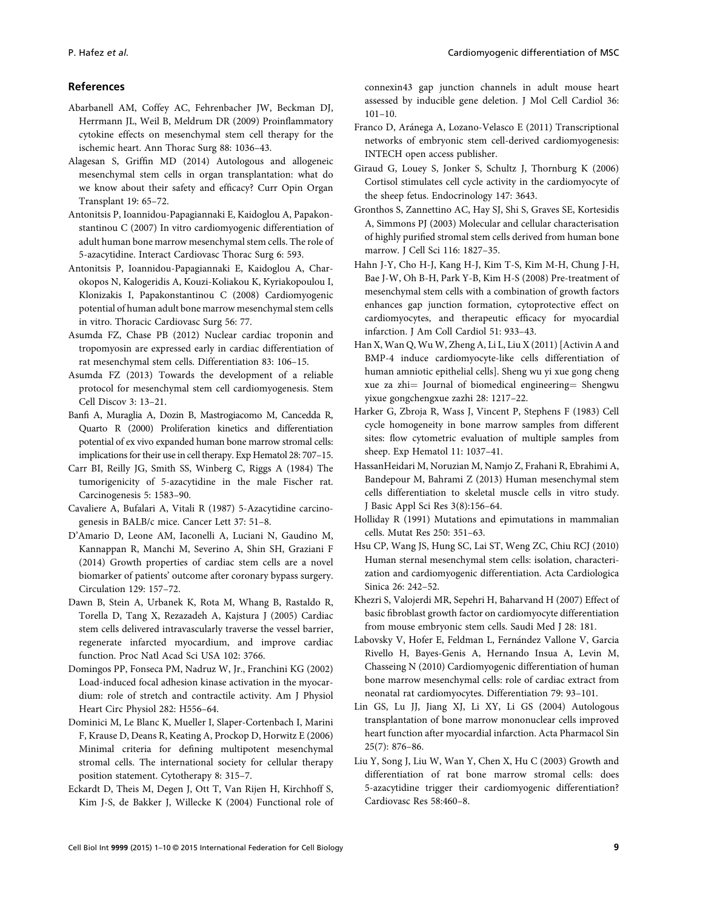### **References**

Abarbanell AM, Coffey AC, Fehrenbacher JW, Beckman DJ, Herrmann JL, Weil B, Meldrum DR (2009) Proinfammatory cytokine effects on mesenchymal stem cell therapy for the ischemic heart. Ann Thorac Surg 88: 1036–43.

Alagesan S, Griffn MD (2014) Autologous and allogeneic mesenchymal stem cells in organ transplantation: what do we know about their safety and efficacy? Curr Opin Organ Transplant 19: 65–72.

Antonitsis P, Ioannidou-Papagiannaki E, Kaidoglou A, Papakonstantinou C (2007) In vitro cardiomyogenic differentiation of adult human bone marrow mesenchymal stem cells. The role of 5-azacytidine. Interact Cardiovasc Thorac Surg 6: 593.

Antonitsis P, Ioannidou-Papagiannaki E, Kaidoglou A, Charokopos N, Kalogeridis A, Kouzi-Koliakou K, Kyriakopoulou I, Klonizakis I, Papakonstantinou C (2008) Cardiomyogenic potential of human adult bone marrow mesenchymal stem cells in vitro. Thoracic Cardiovasc Surg 56: 77.

Asumda FZ, Chase PB (2012) Nuclear cardiac troponin and tropomyosin are expressed early in cardiac differentiation of rat mesenchymal stem cells. Differentiation 83: 106–15.

Asumda FZ (2013) Towards the development of a reliable protocol for mesenchymal stem cell cardiomyogenesis. Stem Cell Discov 3: 13–21.

Banf A, Muraglia A, Dozin B, Mastrogiacomo M, Cancedda R, Quarto R (2000) Proliferation kinetics and differentiation potential of ex vivo expanded human bone marrow stromal cells: implications for their use in cell therapy. Exp Hematol 28: 707-15.

Carr BI, Reilly JG, Smith SS, Winberg C, Riggs A (1984) The tumorigenicity of 5-azacytidine in the male Fischer rat. Carcinogenesis 5: 1583–90.

Cavaliere A, Bufalari A, Vitali R (1987) 5-Azacytidine carcinogenesis in BALB/c mice. Cancer Lett 37: 51–8.

D'Amario D, Leone AM, Iaconelli A, Luciani N, Gaudino M, Kannappan R, Manchi M, Severino A, Shin SH, Graziani F (2014) Growth properties of cardiac stem cells are a novel biomarker of patients' outcome after coronary bypass surgery. Circulation 129: 157–72.

Dawn B, Stein A, Urbanek K, Rota M, Whang B, Rastaldo R, Torella D, Tang X, Rezazadeh A, Kajstura J (2005) Cardiac stem cells delivered intravascularly traverse the vessel barrier, regenerate infarcted myocardium, and improve cardiac function. Proc Natl Acad Sci USA 102: 3766.

Domingos PP, Fonseca PM, Nadruz W, Jr., Franchini KG (2002) Load-induced focal adhesion kinase activation in the myocardium: role of stretch and contractile activity. Am J Physiol Heart Circ Physiol 282: H556–64.

Dominici M, Le Blanc K, Mueller I, Slaper-Cortenbach I, Marini F, Krause D, Deans R, Keating A, Prockop D, Horwitz E (2006) Minimal criteria for defning multipotent mesenchymal stromal cells. The international society for cellular therapy position statement. Cytotherapy 8: 315–7.

Eckardt D, Theis M, Degen J, Ott T, Van Rijen H, Kirchhoff S, Kim J-S, de Bakker J, Willecke K (2004) Functional role of

connexin43 gap junction channels in adult mouse heart assessed by inducible gene deletion. J Mol Cell Cardiol 36: 101–10.

Franco D, Aránega A, Lozano-Velasco E (2011) Transcriptional networks of embryonic stem cell-derived cardiomyogenesis: INTECH open access publisher.

Giraud G, Louey S, Jonker S, Schultz J, Thornburg K (2006) Cortisol stimulates cell cycle activity in the cardiomyocyte of the sheep fetus. Endocrinology 147: 3643.

Gronthos S, Zannettino AC, Hay SJ, Shi S, Graves SE, Kortesidis A, Simmons PJ (2003) Molecular and cellular characterisation of highly purifed stromal stem cells derived from human bone marrow. J Cell Sci 116: 1827–35.

Hahn J-Y, Cho H-J, Kang H-J, Kim T-S, Kim M-H, Chung J-H, Bae J-W, Oh B-H, Park Y-B, Kim H-S (2008) Pre-treatment of mesenchymal stem cells with a combination of growth factors enhances gap junction formation, cytoprotective effect on cardiomyocytes, and therapeutic efficacy for myocardial infarction. J Am Coll Cardiol 51: 933–43.

Han X, Wan Q, Wu W, Zheng A, Li L, Liu X (2011) [Activin A and BMP-4 induce cardiomyocyte-like cells differentiation of human amniotic epithelial cells]. Sheng wu yi xue gong cheng xue za zhi= Journal of biomedical engineering= Shengwu yixue gongchengxue zazhi 28: 1217–22.

Harker G, Zbroja R, Wass J, Vincent P, Stephens F (1983) Cell cycle homogeneity in bone marrow samples from different sites: flow cytometric evaluation of multiple samples from sheep. Exp Hematol 11: 1037–41.

HassanHeidari M, Noruzian M, Namjo Z, Frahani R, Ebrahimi A, Bandepour M, Bahrami Z (2013) Human mesenchymal stem cells differentiation to skeletal muscle cells in vitro study. J Basic Appl Sci Res 3(8):156–64.

Holliday R (1991) Mutations and epimutations in mammalian cells. Mutat Res 250: 351–63.

Hsu CP, Wang JS, Hung SC, Lai ST, Weng ZC, Chiu RCJ (2010) Human sternal mesenchymal stem cells: isolation, characterization and cardiomyogenic differentiation. Acta Cardiologica Sinica 26: 242–52.

Khezri S, Valojerdi MR, Sepehri H, Baharvand H (2007) Effect of basic fbroblast growth factor on cardiomyocyte differentiation from mouse embryonic stem cells. Saudi Med J 28: 181.

Labovsky V, Hofer E, Feldman L, Fernández Vallone V, Garcia Rivello H, Bayes-Genis A, Hernando Insua A, Levin M, Chasseing N (2010) Cardiomyogenic differentiation of human bone marrow mesenchymal cells: role of cardiac extract from neonatal rat cardiomyocytes. Differentiation 79: 93–101.

Lin GS, Lu JJ, Jiang XJ, Li XY, Li GS (2004) Autologous transplantation of bone marrow mononuclear cells improved heart function after myocardial infarction. Acta Pharmacol Sin 25(7): 876–86.

Liu Y, Song J, Liu W, Wan Y, Chen X, Hu C (2003) Growth and differentiation of rat bone marrow stromal cells: does 5-azacytidine trigger their cardiomyogenic differentiation? Cardiovasc Res 58:460–8.